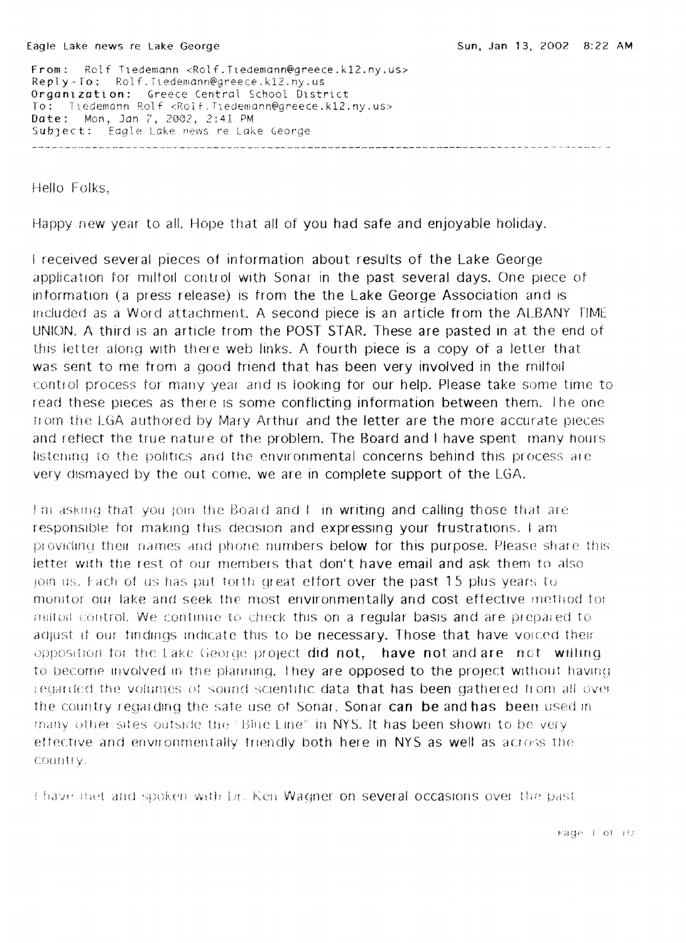From: Rolf TIedemann <Rolf.Tledemann@greece.k12.ny.us> Reply-To: Rolf.Tiedemann@greece.k12.ny.us Organization: Greece Central School District To: ledemann Rolf <Rolf Tledemann@greece.k12.ny.us> Date: Mon, Jan 7, 2002, 2:41 PM Subject: Eagle Lake news re Lake George 

Hello Folks,

Happy new year to all. Hope that all of you had safe and enjoyable holiday.

I received several pieces of intormation about results of the Lake George application for miltoll control with Sonar in the past several days. One piece of information (a press release) is from the the Lake George Association and is Inclu as a Word attachment. A second piece is an article from the ALBANY rIME UNION. A third is an article from the POST STAR. These are pasted in at the end of this letter along with there web links. A fourth piece is a copy of a letter that was sent to me from a good friend that has been very involved in the milfoil control process for many year and is looking for our help. Please take some time to read these pieces as there is some conflicting information between them. The one from the LGA authored by Mary Arthur and the letter are the more accurate pieces and reflect the true nature of the problem. The Board and I have spent many hours listening to the politics and the environmental concerns behind this process are very dismayed by the out come, we are in complete support of the LGA.

I'm asking that you join the Board and I in writing and calling those that are responsible for making this decision and expressing your frustrations. I am providing their names and phone numbers below for this purpose. Please share this letter with the rest of our members that don't have email and ask them to also join us. Fach of us has put torth great effort over the past 15 plus years to monitor our lake and seek the most environmentally and cost effective method for mitted control. We continue to check this on a regular basis and are prepared to adjust if our findings indicate this to be necessary. Those that have voiced their opposition for the Lake George project did not, have not and are not willing to become involved in the planning. They are opposed to the project without having regarded the volumes of sound scientific data that has been gathered from all over the country regarding the safe use of Sonar. Sonar can be and has been used in thany other sites outside the "Blue Line" in NYS. It has been shown to be very ettective and environmentally friendly both here in NYS as well as across the Country.

I have met and spoken with Lr. Ken Wagner on several occasions over the past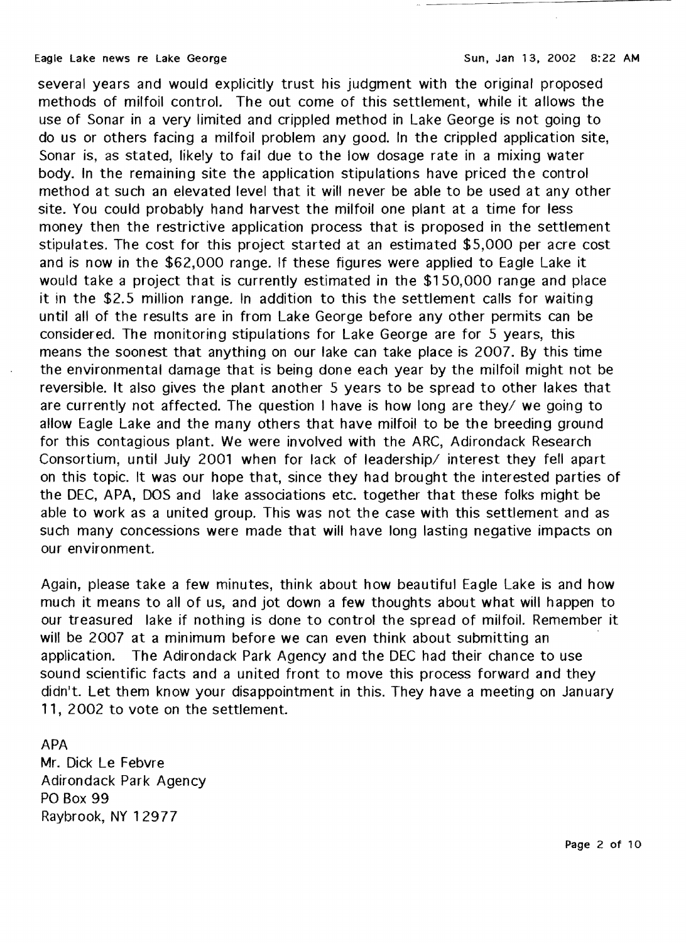several years and would explicitly trust his judgment with the original proposed methods of milfoil control. The out come of this settlement, while it allows the use of Sonar in a very limited and crippled method in Lake George is not going to do us or others facing a milfoil problem any good. In the crippled application site, Sonar is, as stated, likely to fail due to the low dosage rate in a mixing water body. In the remaining site the application stipulations have priced the control method at such an elevated level that it will never be able to be used at any other site. You could probably hand harvest the milfoil one plant at a time for less money then the restrictive application process that is proposed in the settlement stipulates. The cost for this project started at an estimated \$5,000 per acre cost and is now in the \$62,000 range. If these figures were applied to Eagle Lake it would take a project that is currently estimated in the \$150,000 range and place it in the \$2.5 million range. In addition to this the settlement calls for waiting until all of the results are in from Lake George before any other permits can be considered. The monitoring stipulations for Lake George are for 5 years, this means the soonest that anything on our lake can take place is 2007. By this time the environmental damage that is being done each year by the milfoil might not be reversible. It also gives the plant another 5 years to be spread to other lakes that are currently not affected. The question I have is how long are they/ we going to allow Eagle Lake and the many others that have milfoil to be the breeding ground for this contagious plant. We were involved with the ARC, Adirondack Research Consortium, until July 2001 when for lack of leadership/ interest they fell apart on this topic. It was our hope that, since they had brought the interested parties of the DEC, APA, DOS and lake associations etc. together that these folks might be able to work as a united group. This was not the case with this settlement and as such many concessions were made that will have long lasting negative impacts on our environment.

Again, please take a few minutes, think about how beautiful Eagle Lake is and how much it means to all of us, and jot down a few thoughts about what will happen to our treasured lake if nothing is done to control the spread of milfoil. Remember it will be 2007 at a minimum before we can even think about submitting an application. The Adirondack Park Agency and the DEC had their chance to use sound scientific facts and a united front to move this process forward and they didn't. Let them know your disappointment in this. They have a meeting on January 11, 2002 to vote on the settlement.

## APA

Mr. Dick Le Febvre Adirondack Park Agency PO Box 99 Raybrook, NY 12977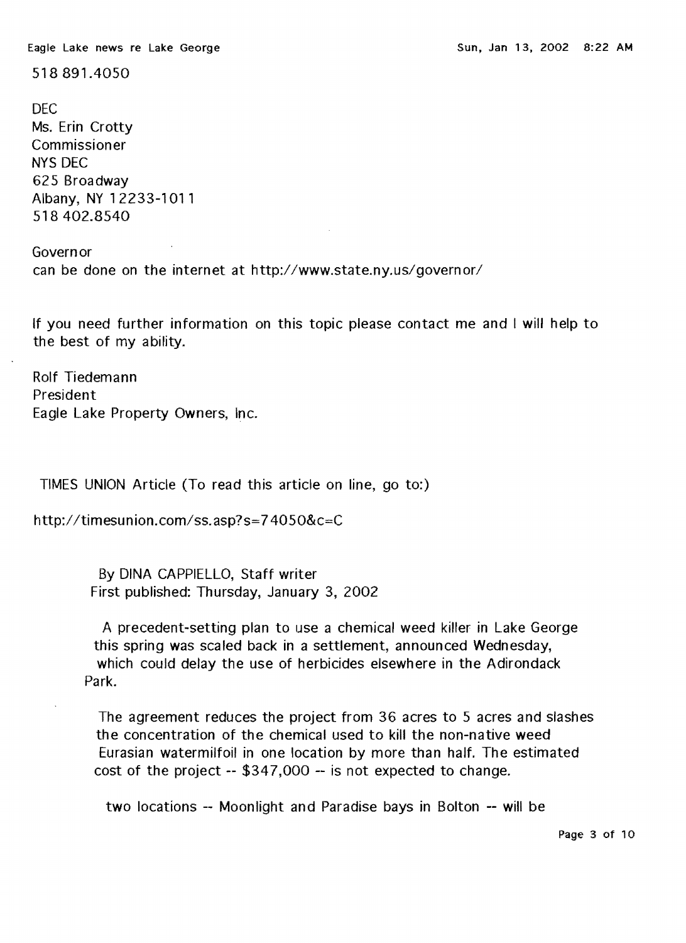Eagle Lake news re Lake George Sun, Jan 13, 2002 8:22 AM

518891.4050

DEC Ms. Erin Crotty Commissioner NYS DEC 625 Broadway Albany, NY 12233-1011 518 402.8540

Governor can be done on the internet at http://www.state.ny.us/governor/

If you need further information on this topic please contact me and I will help to the best of my ability.

Rolf Tiedemann President Eagle Lake Property Owners, Inc.

TIMES UNION Article (To read this article on line, go to:)

http://timesunion.com/ss.asp?s=74050&c=C

By DINA CAPPIELLO, Staff writer First published: Thursday, January 3, 2002

A precedent-setting plan to use a chemical weed killer in Lake George this spring was scaled back in a settlement, announced Wednesday, which could delay the use of herbicides elsewhere in the Adirondack Park.

The agreement reduces the project from 36 acres to 5 acres and slashes the concentration of the chemical used to kill the non-native weed Eurasian watermilfoil in one location by more than half. The estimated cost of the project -- \$347,000 -- is not expected to change.

two locations -- Moonlight and Paradise bays in Bolton -- will be

Page 3 of 10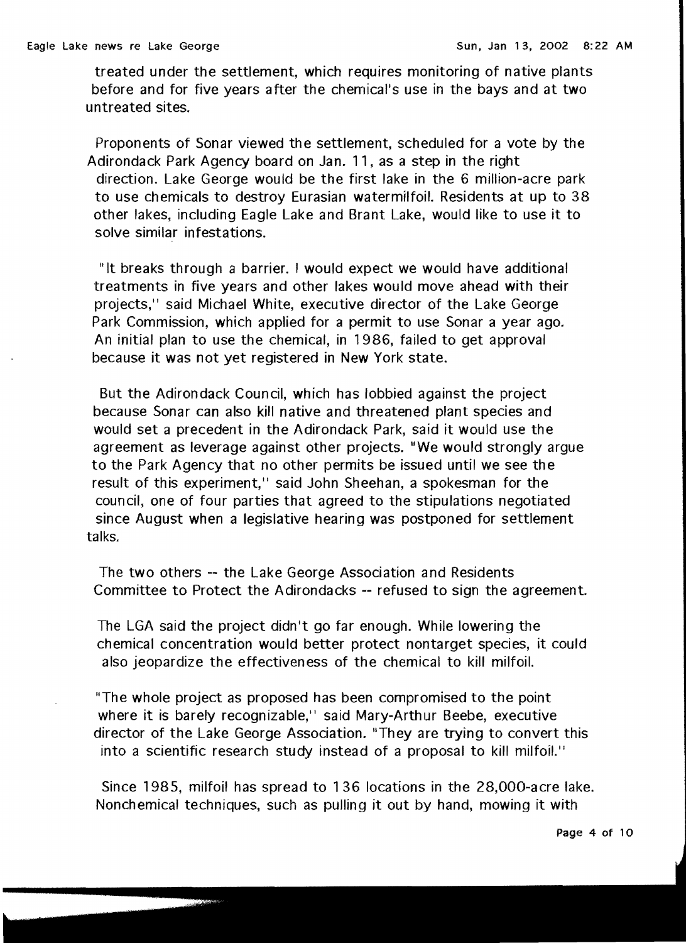treated under the settlement, which requires monitoring of native plants before and for five years after the chemical's use in the bays and at two untreated sites.

Proponents of Sonar viewed the settlement, scheduled for a vote by the Adirondack Park Agency board on Jan. 11, as a step in the right direction. Lake George would be the first lake in the 6 million-acre park to use chemicals to destroy Eurasian watermilfoil. Residents at up to 38 other lakes, including Eagle Lake and Brant Lake, would like to use it to solve similar infestations.

"It breaks through a barrier. I would expect we would have additional treatments in five years and other lakes would move ahead with their projects," said Michael White, executive director of the Lake George Park Commission, which applied for a permit to use Sonar a year ago. An initial plan to use the chemical, in 1986, failed to get approval because it was not yet registered in New York state.

But the Adirondack Council, which has lobbied against the project because Sonar can also kill native and threatened plant species and would set a precedent in the Adirondack Park, said it would use the agreement as leverage against other projects. "We would strongly argue to the Park Agency that no other permits be issued until we see the result of this experiment," said John Sheehan, a spokesman for the council, one of four parties that agreed to the stipulations negotiated since August when a legislative hearing was postponed for settlement talks.

The two others -- the Lake George Association and Residents Committee to Protect the Adirondacks -- refused to sign the agreement.

The LGA said the project didn't go far enough. While lowering the chemical concentration would better protect nontarget species, it could also jeopardize the effectiveness of the chemical to kill milfoil.

"The whole project as proposed has been compromised to the point where it is barely recognizable," said Mary-Arthur Beebe, executive director of the Lake George Association. "They are trying to convert this into a scientific research study instead of a proposal to kill milfoil."

Since 1985, milfoil has spread to 136 locations in the 28,OOO-acre lake. Nonchemical techniques, such as pulling it out by hand, mowing it with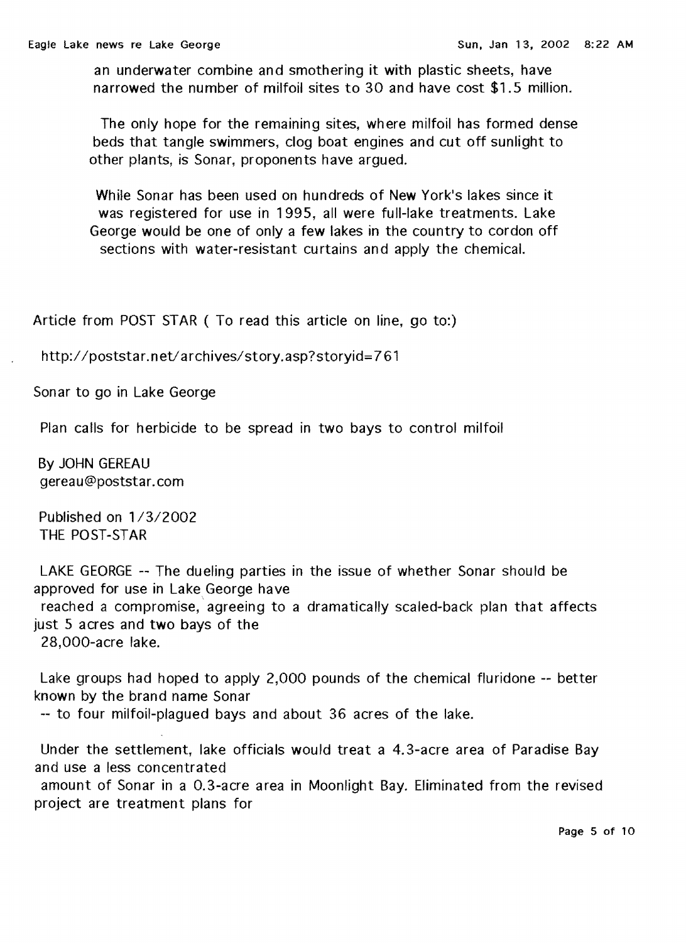an underwater combine and smothering it with plastic sheets, have narrowed the number of milfoil sites to 30 and have cost \$1.5 million.

The only hope for the remaining sites, where milfoil has formed dense beds that tangle swimmers, clog boat engines and cut off sunlight to other plants, is Sonar, proponents have argued.

While Sonar has been used on hundreds of New York's lakes since it was registered for use in 1995, all were full-lake treatments. Lake George would be one of only a few lakes in the country to cordon off sections with water-resistant curtains and apply the chemical.

Article from POST STAR ( To read this article on line, go to:)

http://poststar.net/archives/story.asp?storyid=761

Sonar to go in Lake George

Plan calls for herbicide to be spread in two bays to control milfoil

By JOHN GEREAU gereau@poststar.com

Published on 1/3/2002 THE POST-STAR

LAKE GEORGE -- The dueling parties in the issue of whether Sonar should be approved for use in Lake George have reached a compromise, agreeing to a dramatically scaled-back plan that affects just 5 acres and two bays of the

28,000-acre lake.

Lake groups had hoped to apply 2,000 pounds of the chemical fluridone -- better known by the brand name Sonar

-- to four milfoil-plagued bays and about 36 acres of the lake.

Under the settlement, lake officials would treat a 4.3-acre area of Paradise Bay and use a less concentrated

amount of Sonar in a 0.3-acre area in Moonlight Bay. Eliminated from the revised project are treatment plans for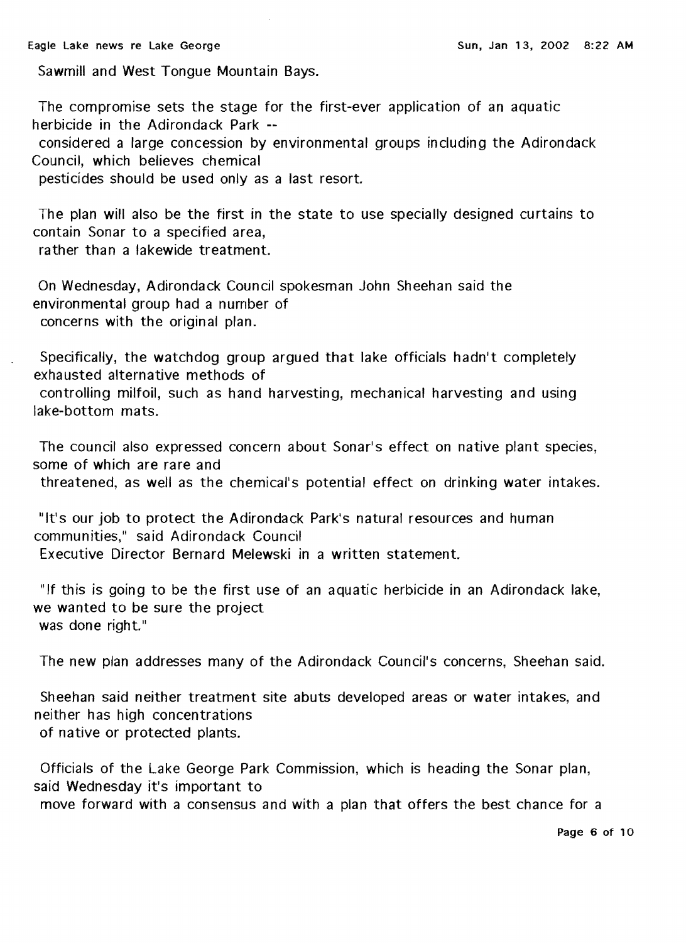Sawmill and West Tongue Mountain Bays.

The compromise sets the stage for the first-ever application of an aquatic herbicide in the Adirondack Park -

considered a large concession by environmental groups including the Adirondack Council, which believes chemical

pesticides should be used only as a last resort.

The plan will also be the first in the state to use specially designed curtains to contain Sonar to a specified area, rather than a lakewide treatment.

On Wednesday, Adirondack Council spokesman John Sheehan said the environmental group had a nurnber of concerns with the original plan.

Specifically, the watchdog group argued that lake officials hadn't completely exhausted alternative methods of controlling milfoil, such as hand harvesting, mechanical harvesting and using lake-bottom mats.

The council also expressed concern about Sonar's effect on native plant species, some of which are rare and

threatened, as well as the chemical's potential effect on drinking water intakes.

"It's our job to protect the Adirondack Park's natural resources and human communities," said Adirondack Council Executive Director Bernard Melewski in a written statement.

"If this is going to be the first use of an aquatic herbicide in an Adirondack lake, we wanted to be sure the project was done right."

The new plan addresses many of the Adirondack Council's concerns, Sheehan said.

Sheehan said neither treatment site abuts developed areas or water intakes, and neither has high concentrations of native or protected plants.

Officials of the Lake George Park Commission, which is heading the Sonar plan, said Wednesday it's important to

move forward with a consensus and with a plan that offers the best chance for a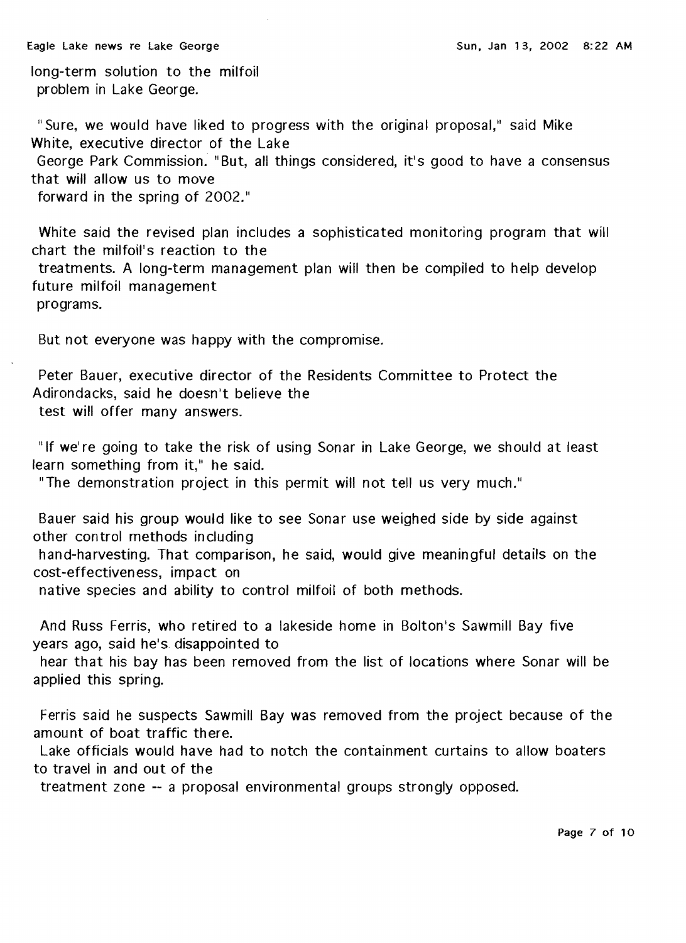long-term solution to the milfoil problem in Lake George.

"Sure, we would have liked to progress with the original proposal," said Mike White, executive director of the Lake George Park Commission. "But, all things considered, it's good to have a consensus that will allow us to move forward in the spring of 2002."

White said the revised plan includes a sophisticated monitoring program that will chart the milfoil's reaction to the

treatments. A long-term management plan will then be compiled to help develop future milfoil management

programs.

But not everyone was happy with the compromise.

Peter Bauer, executive director of the Residents Committee to Protect the Adirondacks, said he doesn't believe the test will offer many answers.

"If we're going to take the risk of using Sonar in Lake George, we should at least learn something from it," he said.

"The demonstration project in this permit will not tell us very much."

Bauer said his group would like to see Sonar use weighed side by side against other control methods including hand-harvesting. That comparison, he said, would give meaningful details on the cost-effectiveness, impact on native species and ability to control milfoil of both methods.

And Russ Ferris, who retired to a lakeside home in Bolton's Sawmill Bay five years ago, said he's disappointed to

hear that his bay has been removed from the list of locations where Sonar will be applied this spring.

Ferris said he suspects Sawmill Bay was removed from the project because of the amount of boat traffic there.

Lake officials would have had to notch the containment curtains to allow boaters to travel in and out of the

treatment zone -- a proposal environmental groups strongly opposed.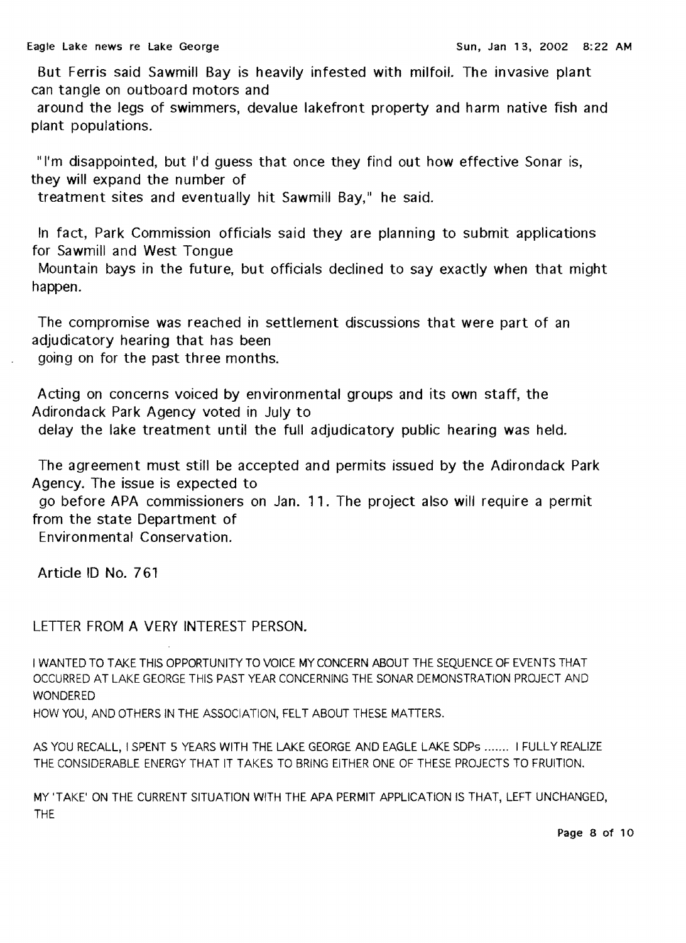But Ferris said Sawmill Bay is heavily infested with milfoil. The invasive plant can tangle on outboard motors and

around the legs of swimmers, devalue lakefront property and harm native fish and plant populations.

"I'm disappointed, but I'd quess that once they find out how effective Sonar is, they will expand the number of

treatment sites and eventually hit Sawmill Bay," he said.

In fact, Park Commission officials said they are planning to submit applications for Sawmill and West Tongue

Mountain bays in the future, but officials declined to say exactly when that might happen.

The compromise was reached in settlement discussions that were part of an adjudicatory hearing that has been going on for the past three months.

Acting on concerns voiced by environmental groups and its own staff, the Adirondack Park Agency voted in July to

delay the lake treatment until the full adjudicatory public hearing was held.

The agreement must still be accepted and permits issued by the Adirondack Park Agency. The issue is expected to

go before APA commissioners on Jan. 11. The project also will require a permit from the state Department of

Environ mental Conservation.

Article ID No. 761

LETTER FROM A VERY INTEREST PERSON.

I WANTED TO TAKE THIS OPPORTUNITY TO VOICE MY CONCERN ABOUT THE SEQUENCE OF EVENTS THAT OCCURRED AT LAKE GEORGE THIS PAST YEAR CONCERNING THE SONAR DEMONSTRATION PROJECT AND WONDERED

HOW YOU, AND OTHERS IN THE ASSOCIATION, FELT ABOUT THESE MATIERS.

AS YOU RECALL, I SPENT 5 YEARS WITH THE LAKE GEORGE AND EAGLE LAKE SOPs ....... I FULLY REALIZE THE CONSIDERABLE ENERGY THAT IT TAKES TO BRING EITHER ONE OF THESE PROJECTS TO FRUITION.

MY 'TAKE' ON THE CURRENT SITUATION WITH THE APA PERMIT APPLICATION IS THAT, LEFT UNCHANGED, THE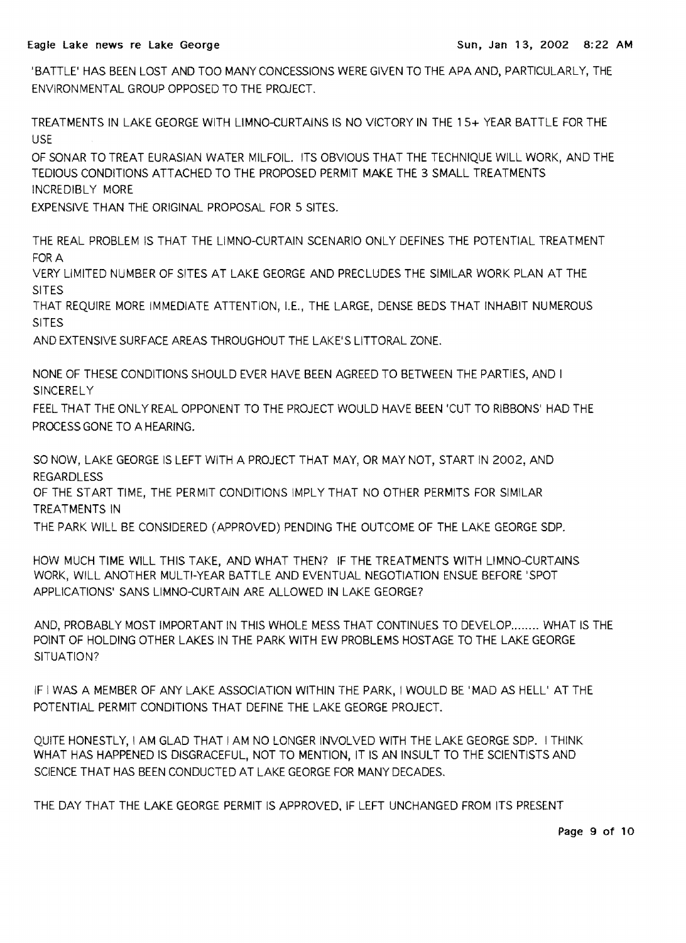'BATTLE' HAS BEEN LOST AND TOO MANY CONCESSIONS WERE GIVEN TO THE APAAND, PARTICULARLY, THE ENVIRONMENTAL GROUP OPPOSED TO THE PROJECT.

TREATMENTS IN LAKE GEORGE WITH LlMNO-CURTAINS IS NO VICTORY IN THE 15+ YEAR BATTLE FOR THE USE

OF SONAR TO TREAT EURASIAN WATER MILFOIL. ITS OBVIOUS THAT THE TECHNIQUE WILL WORK, AND THE TEDIOUS CONDITIONS ATTACHED TO THE PROPOSED PERMIT MAKE THE 3 SMALL TREATMENTS INCREDIBLY MORE

EXPENSIVE THAN THE ORIGINAL PROPOSAL FOR 5 SITES.

THE REAL PROBLEM IS THAT THE LIMNO-CURTAIN SCENARIO ONLY DEFINES THE POTENTIAL TREATMENT FOR A

VERY LIMITED NUMBER OF SITES AT LAKE GEORGE AND PRECLUDES THE SIMILAR WORK PLAN AT THE SITES

THAT REQUIRE MORE IMMEDIATE ATTENTION, I.E., THE LARGE, DENSE BEDS THAT INHABIT NUMEROUS SITES

AND EXTENSIVE SURFACE AREAS THROUGHOUT THE LAKE'S LITTORAL ZONE.

NONE OF THESE CONDITIONS SHOULD EVER HAVE BEEN AGREED TO BETWEEN THE PARTIES, AND I **SINCERELY** 

FEEL THAT THE ONLY REAL OPPONENT TO THE PROJECT WOULD HAVE BEEN 'CUT TO RIBBONS' HAD THE PROCESS GONE TO A HEARING.

SO NOW, LAKE GEORGE IS LEFT WITH A PROJECT THAT MAY, OR MAY NOT, START IN 2002, AND REGARDLESS

OF THE START TIME, THE PERMIT CONDITIONS IMPLY THAT NO OTHER PERMITS FOR SIMILAR TREATMENTS IN

THE PARK WILL BE CONSIDERED (APPROVED) PENDING THE OUTCOME OF THE LAKE GEORGE SOP.

HOW MUCH TIME WILL THIS TAKE, AND WHAT THEN? IF THE TREATMENTS WITH LlMNO-CURTAINS WORK, WILL ANOTHER MULTI-YEAR BATTLE AND EVENTUAL NEGOTIATION ENSUE BEFORE 'SPOT APPLICATIONS' SANS LlMNO-CURTAIN ARE ALLOWED IN LAKE GEORGE?

AND, PROBABLY MOST IMPORTANT IN THIS WHOLE MESS THAT CONTINUES TO DEVELOP........ WHAT IS THE POINT OF HOLDING OTHER LAKES IN THE PARK WITH EW PROBLEMS HOSTAGE TO THE LAKE GEORGE SITUATION?

IF I WAS A MEMBER OF ANY LAKE ASSOCIATION WITHIN THE PARK, I WOULD BE 'MAD AS HELL' AT THE POTENTIAL PERMIT CONDITIONS THAT DEFINE THE LAKE GEORGE PROJECT.

QUITE HONESTLY, I AM GLAD THAT I AM NO LONGER INVOLVED WITH THE LAKE GEORGE SOP. I THINK WHAT HAS HAPPENED IS DISGRACEFUL, NOT TO MENTION, IT IS AN INSULT TO THE SCIENTISTS AND SCIENCE THAT HAS BEEN CONDUCTED AT LAKE GEORGE FOR MANY DECADES.

THE DAY THAT THE LAKE GEORGE PERMIT IS APPROVED, IF LEFT UNCHANGED FROM ITS PRESENT

Page 9 of 10